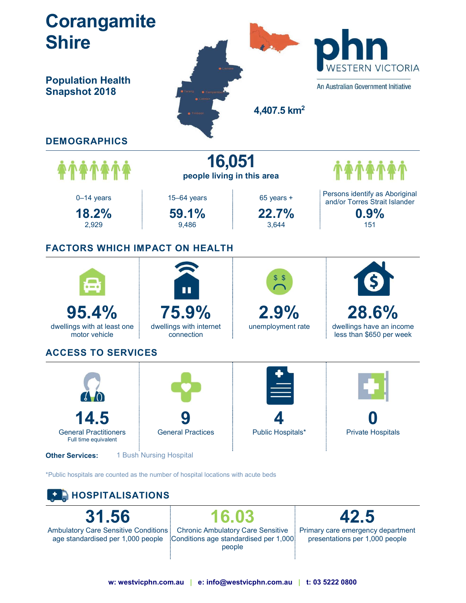

w: westvicphn.com.au | e: info@westvicphn.com.au | t: 03 5222 0800